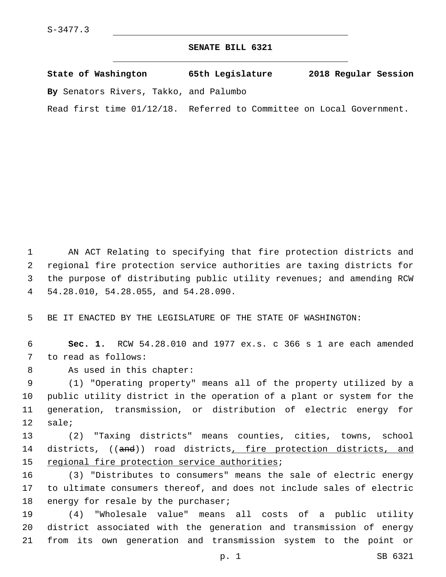## **SENATE BILL 6321**

| State of Washington                    | 65th Legislature                           | 2018 Regular Session |
|----------------------------------------|--------------------------------------------|----------------------|
| By Senators Rivers, Takko, and Palumbo |                                            |                      |
| Read first time 01/12/18.              | Referred to Committee on Local Government. |                      |

 AN ACT Relating to specifying that fire protection districts and regional fire protection service authorities are taxing districts for the purpose of distributing public utility revenues; and amending RCW 54.28.010, 54.28.055, and 54.28.090.4

5 BE IT ENACTED BY THE LEGISLATURE OF THE STATE OF WASHINGTON:

6 **Sec. 1.** RCW 54.28.010 and 1977 ex.s. c 366 s 1 are each amended 7 to read as follows:

8 As used in this chapter:

 (1) "Operating property" means all of the property utilized by a public utility district in the operation of a plant or system for the generation, transmission, or distribution of electric energy for 12 sale;

13 (2) "Taxing districts" means counties, cities, towns, school 14 districts, ((and)) road districts, fire protection districts, and 15 regional fire protection service authorities;

16 (3) "Distributes to consumers" means the sale of electric energy 17 to ultimate consumers thereof, and does not include sales of electric 18 energy for resale by the purchaser;

19 (4) "Wholesale value" means all costs of a public utility 20 district associated with the generation and transmission of energy 21 from its own generation and transmission system to the point or

p. 1 SB 6321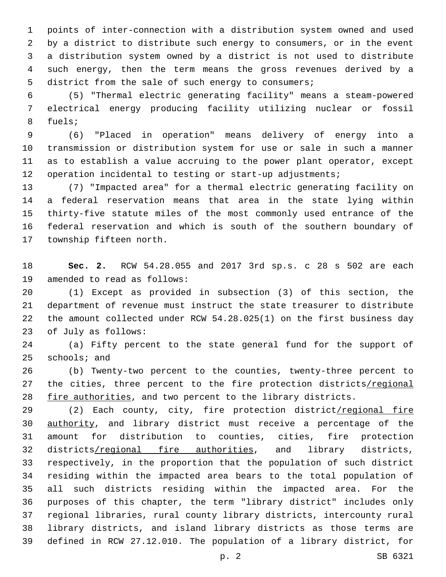points of inter-connection with a distribution system owned and used by a district to distribute such energy to consumers, or in the event a distribution system owned by a district is not used to distribute such energy, then the term means the gross revenues derived by a district from the sale of such energy to consumers;

 (5) "Thermal electric generating facility" means a steam-powered electrical energy producing facility utilizing nuclear or fossil 8 fuels;

 (6) "Placed in operation" means delivery of energy into a transmission or distribution system for use or sale in such a manner as to establish a value accruing to the power plant operator, except 12 operation incidental to testing or start-up adjustments;

 (7) "Impacted area" for a thermal electric generating facility on a federal reservation means that area in the state lying within thirty-five statute miles of the most commonly used entrance of the federal reservation and which is south of the southern boundary of 17 township fifteen north.

 **Sec. 2.** RCW 54.28.055 and 2017 3rd sp.s. c 28 s 502 are each 19 amended to read as follows:

 (1) Except as provided in subsection (3) of this section, the department of revenue must instruct the state treasurer to distribute the amount collected under RCW 54.28.025(1) on the first business day 23 of July as follows:

 (a) Fifty percent to the state general fund for the support of schools; and

 (b) Twenty-two percent to the counties, twenty-three percent to 27 the cities, three percent to the fire protection districts/regional fire authorities, and two percent to the library districts.

29 (2) Each county, city, fire protection district/regional fire authority, and library district must receive a percentage of the amount for distribution to counties, cities, fire protection 32 districts/regional fire authorities, and library districts, respectively, in the proportion that the population of such district residing within the impacted area bears to the total population of all such districts residing within the impacted area. For the purposes of this chapter, the term "library district" includes only regional libraries, rural county library districts, intercounty rural library districts, and island library districts as those terms are defined in RCW 27.12.010. The population of a library district, for

p. 2 SB 6321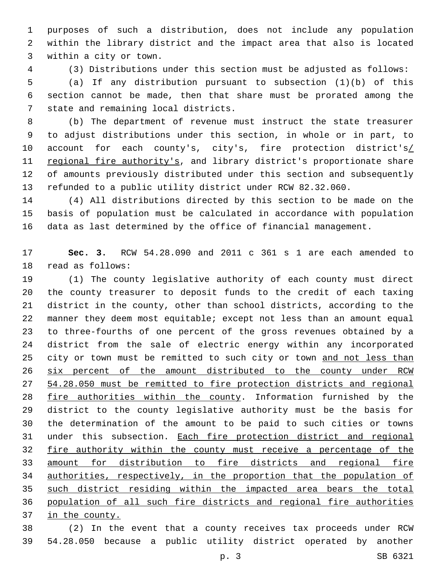purposes of such a distribution, does not include any population within the library district and the impact area that also is located 3 within a city or town.

 (3) Distributions under this section must be adjusted as follows: (a) If any distribution pursuant to subsection (1)(b) of this

 section cannot be made, then that share must be prorated among the 7 state and remaining local districts.

 (b) The department of revenue must instruct the state treasurer to adjust distributions under this section, in whole or in part, to 10 account for each county's, city's, fire protection district's/ 11 regional fire authority's, and library district's proportionate share of amounts previously distributed under this section and subsequently refunded to a public utility district under RCW 82.32.060.

 (4) All distributions directed by this section to be made on the basis of population must be calculated in accordance with population data as last determined by the office of financial management.

 **Sec. 3.** RCW 54.28.090 and 2011 c 361 s 1 are each amended to 18 read as follows:

 (1) The county legislative authority of each county must direct the county treasurer to deposit funds to the credit of each taxing district in the county, other than school districts, according to the manner they deem most equitable; except not less than an amount equal to three-fourths of one percent of the gross revenues obtained by a district from the sale of electric energy within any incorporated 25 city or town must be remitted to such city or town and not less than six percent of the amount distributed to the county under RCW 54.28.050 must be remitted to fire protection districts and regional fire authorities within the county. Information furnished by the district to the county legislative authority must be the basis for the determination of the amount to be paid to such cities or towns under this subsection. Each fire protection district and regional 32 fire authority within the county must receive a percentage of the amount for distribution to fire districts and regional fire authorities, respectively, in the proportion that the population of such district residing within the impacted area bears the total population of all such fire districts and regional fire authorities in the county.

 (2) In the event that a county receives tax proceeds under RCW 54.28.050 because a public utility district operated by another